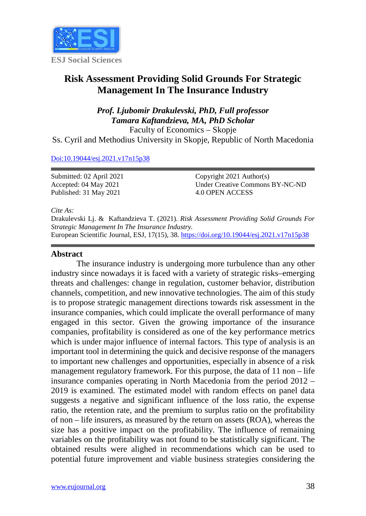

# **Risk Assessment Providing Solid Grounds For Strategic Management In The Insurance Industry**

# *Prof. Ljubomir Drakulevski, PhD, Full professor Tamara Kaftandzieva, MA, PhD Scholar* Faculty of Economics – Skopje

Ss. Cyril and Methodius University in Skopje, Republic of North Macedonia

#### [Doi:10.19044/esj.2021.v17n15p38](https://doi.org/10.19044/esj.2021.v17n15p1)

Submitted: 02 April 2021 Accepted: 04 May 2021 Published: 31 May 2021

Copyright 2021 Author(s) Under Creative Commons BY-NC-ND 4.0 OPEN ACCESS

*Cite As:*

Drakulevski Lj. & Kaftandzieva T. (2021). *Risk Assessment Providing Solid Grounds For Strategic Management In The Insurance Industry.* European Scientific Journal, ESJ, 17(15), 38.<https://doi.org/10.19044/esj.2021.v17n15p38>

#### **Abstract**

The insurance industry is undergoing more turbulence than any other industry since nowadays it is faced with a variety of strategic risks–emerging threats and challenges: change in regulation, customer behavior, distribution channels, competition, and new innovative technologies. The aim of this study is to propose strategic management directions towards risk assessment in the insurance companies, which could implicate the overall performance of many engaged in this sector. Given the growing importance of the insurance companies, profitability is considered as one of the key performance metrics which is under major influence of internal factors. This type of analysis is an important tool in determining the quick and decisive response of the managers to important new challenges and opportunities, especially in absence of a risk management regulatory framework. For this purpose, the data of 11 non – life insurance companies operating in North Macedonia from the period 2012 – 2019 is examined. The estimated model with random effects on panel data suggests a negative and significant influence of the loss ratio, the expense ratio, the retention rate, and the premium to surplus ratio on the profitability of non – life insurers, as measured by the return on assets (ROA), whereas the size has a positive impact on the profitability. The influence of remaining variables on the profitability was not found to be statistically significant. The obtained results were alighed in recommendations which can be used to potential future improvement and viable business strategies considering the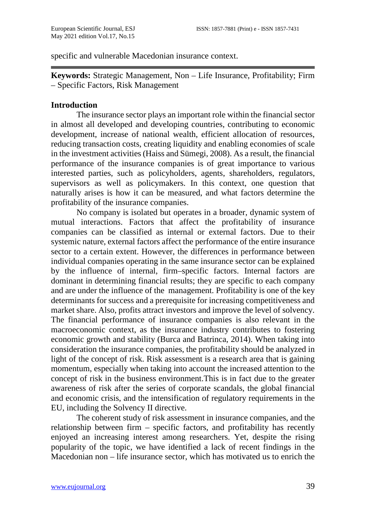specific and vulnerable Macedonian insurance context.

**Keywords:** Strategic Management, Non – Life Insurance, Profitability; Firm – Specific Factors, Risk Management

#### **Introduction**

The insurance sector plays an important role within the financial sector in almost all developed and developing countries, contributing to economic development, increase of national wealth, efficient allocation of resources, reducing transaction costs, creating liquidity and enabling economies of scale in the investment activities (Haiss and Sümegi, 2008). As a result, the financial performance of the insurance companies is of great importance to various interested parties, such as policyholders, agents, shareholders, regulators, supervisors as well as policymakers. In this context, one question that naturally arises is how it can be measured, and what factors determine the profitability of the insurance companies.

No company is isolated but operates in a broader, dynamic system of mutual interactions. Factors that affect the profitability of insurance companies can be classified as internal or external factors. Due to their systemic nature, external factors affect the performance of the entire insurance sector to a certain extent. However, the differences in performance between individual companies operating in the same insurance sector can be explained by the influence of internal, firm–specific factors. Internal factors are dominant in determining financial results; they are specific to each company and are under the influence of the management. Profitability is one of the key determinants for success and a prerequisite for increasing competitiveness and market share. Also, profits attract investors and improve the level of solvency. The financial performance of insurance companies is also relevant in the macroeconomic context, as the insurance industry contributes to fostering economic growth and stability (Burca and Batrinca, 2014). When taking into consideration the insurance companies, the profitability should be analyzed in light of the concept of risk. Risk assessment is a research area that is gaining momentum, especially when taking into account the increased attention to the concept of risk in the business environment.This is in fact due to the greater awareness of risk after the series of corporate scandals, the global financial and economic crisis, and the intensification of regulatory requirements in the EU, including the Solvency II directive.

The coherent study of risk assessment in insurance companies, and the relationship between firm – specific factors, and profitability has recently enjoyed an increasing interest among researchers. Yet, despite the rising popularity of the topic, we have identified a lack of recent findings in the Macedonian non – life insurance sector, which has motivated us to enrich the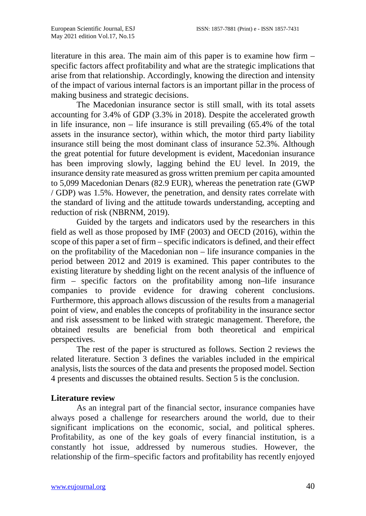literature in this area. The main aim of this paper is to examine how firm – specific factors affect profitability and what are the strategic implications that arise from that relationship. Accordingly, knowing the direction and intensity of the impact of various internal factors is an important pillar in the process of making business and strategic decisions.

The Macedonian insurance sector is still small, with its total assets accounting for 3.4% of GDP (3.3% in 2018). Despite the accelerated growth in life insurance, non – life insurance is still prevailing (65.4% of the total assets in the insurance sector), within which, the motor third party liability insurance still being the most dominant class of insurance 52.3%. Although the great potential for future development is evident, Macedonian insurance has been improving slowly, lagging behind the EU level. In 2019, the insurance density rate measured as gross written premium per capita amounted to 5,099 Macedonian Denars (82.9 EUR), whereas the penetration rate (GWP / GDP) was 1.5%. However, the penetration, and density rates correlate with the standard of living and the attitude towards understanding, accepting and reduction of risk (NBRNM, 2019).

Guided by the targets and indicators used by the researchers in this field as well as those proposed by IMF (2003) and OECD (2016), within the scope of this paper a set of firm – specific indicators is defined, and their effect on the profitability of the Macedonian non – life insurance companies in the period between 2012 and 2019 is examined. This paper contributes to the existing literature by shedding light on the recent analysis of the influence of firm – specific factors on the profitability among non–life insurance companies to provide evidence for drawing coherent conclusions. Furthermore, this approach allows discussion of the results from a managerial point of view, and enables the concepts of profitability in the insurance sector and risk assessment to be linked with strategic management. Therefore, the obtained results are beneficial from both theoretical and empirical perspectives.

The rest of the paper is structured as follows. Section 2 reviews the related literature. Section 3 defines the variables included in the empirical analysis, lists the sources of the data and presents the proposed model. Section 4 presents and discusses the obtained results. Section 5 is the conclusion.

# **Literature review**

As an integral part of the financial sector, insurance companies have always posed a challenge for researchers around the world, due to their significant implications on the economic, social, and political spheres. Profitability, as one of the key goals of every financial institution, is a constantly hot issue, addressed by numerous studies. However, the relationship of the firm–specific factors and profitability has recently enjoyed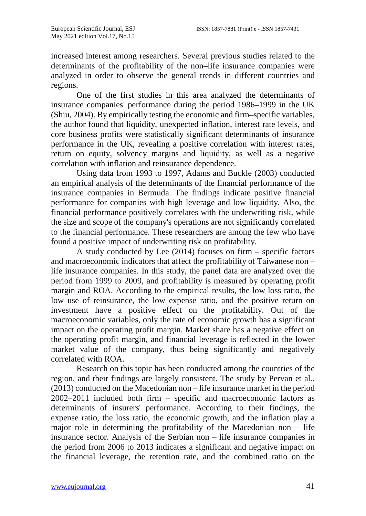increased interest among researchers. Several previous studies related to the determinants of the profitability of the non–life insurance companies were analyzed in order to observe the general trends in different countries and regions.

One of the first studies in this area analyzed the determinants of insurance companies' performance during the period 1986–1999 in the UK (Shiu, 2004). By empirically testing the economic and firm–specific variables, the author found that liquidity, unexpected inflation, interest rate levels, and core business profits were statistically significant determinants of insurance performance in the UK, revealing a positive correlation with interest rates, return on equity, solvency margins and liquidity, as well as a negative correlation with inflation and reinsurance dependence.

Using data from 1993 to 1997, Adams and Buckle (2003) conducted an empirical analysis of the determinants of the financial performance of the insurance companies in Bermuda. The findings indicate positive financial performance for companies with high leverage and low liquidity. Also, the financial performance positively correlates with the underwriting risk, while the size and scope of the company's operations are not significantly correlated to the financial performance. These researchers are among the few who have found a positive impact of underwriting risk on profitability.

A study conducted by Lee  $(2014)$  focuses on firm – specific factors and macroeconomic indicators that affect the profitability of Taiwanese non – life insurance companies. In this study, the panel data are analyzed over the period from 1999 to 2009, and profitability is measured by operating profit margin and ROA. According to the empirical results, the low loss ratio, the low use of reinsurance, the low expense ratio, and the positive return on investment have a positive effect on the profitability. Out of the macroeconomic variables, only the rate of economic growth has a significant impact on the operating profit margin. Market share has a negative effect on the operating profit margin, and financial leverage is reflected in the lower market value of the company, thus being significantly and negatively correlated with ROA.

Research on this topic has been conducted among the countries of the region, and their findings are largely consistent. The study by Pervan et al., (2013) conducted on the Macedonian non – life insurance market in the period 2002–2011 included both firm – specific and macroeconomic factors as determinants of insurers' performance. According to their findings, the expense ratio, the loss ratio, the economic growth, and the inflation play a major role in determining the profitability of the Macedonian non – life insurance sector. Analysis of the Serbian non – life insurance companies in the period from 2006 to 2013 indicates a significant and negative impact on the financial leverage, the retention rate, and the combined ratio on the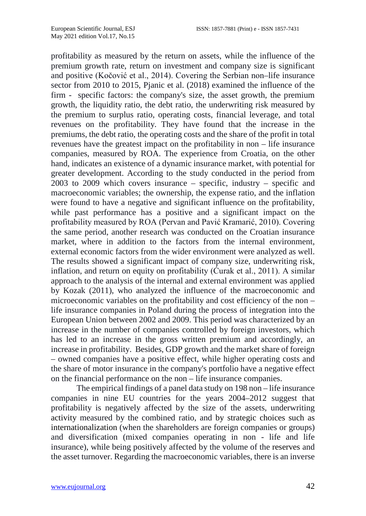profitability as measured by the return on assets, while the influence of the premium growth rate, return on investment and company size is significant and positive (Kočović et al., 2014). Covering the Serbian non–life insurance sector from 2010 to 2015, Pjanic et al. (2018) examined the influence of the firm - specific factors: the company's size, the asset growth, the premium growth, the liquidity ratio, the debt ratio, the underwriting risk measured by the premium to surplus ratio, operating costs, financial leverage, and total revenues on the profitability. They have found that the increase in the premiums, the debt ratio, the operating costs and the share of the profit in total revenues have the greatest impact on the profitability in non – life insurance companies, measured by ROA. The experience from Croatia, on the other hand, indicates an existence of a dynamic insurance market, with potential for greater development. According to the study conducted in the period from 2003 to 2009 which covers insurance – specific, industry – specific and macroeconomic variables; the ownership, the expense ratio, and the inflation were found to have a negative and significant influence on the profitability, while past performance has a positive and a significant impact on the profitability measured by ROA (Pervan and Pavić Kramarić, 2010). Covering the same period, another research was conducted on the Croatian insurance market, where in addition to the factors from the internal environment, external economic factors from the wider environment were analyzed as well. The results showed a significant impact of company size, underwriting risk, inflation, and return on equity on profitability ( $\acute{C}$ urak et al., 2011). A similar approach to the analysis of the internal and external environment was applied by Kozak (2011), who analyzed the influence of the macroeconomic and microeconomic variables on the profitability and cost efficiency of the non – life insurance companies in Poland during the process of integration into the European Union between 2002 and 2009. This period was characterized by an increase in the number of companies controlled by foreign investors, which has led to an increase in the gross written premium and accordingly, an increase in profitability. Besides, GDP growth and the market share of foreign – owned companies have a positive effect, while higher operating costs and the share of motor insurance in the company's portfolio have a negative effect on the financial performance on the non – life insurance companies.

The empirical findings of a panel data study on 198 non – life insurance companies in nine EU countries for the years 2004–2012 suggest that profitability is negatively affected by the size of the assets, underwriting activity measured by the combined ratio, and by strategic choices such as internationalization (when the shareholders are foreign companies or groups) and diversification (mixed companies operating in non - life and life insurance), while being positively affected by the volume of the reserves and the asset turnover. Regarding the macroeconomic variables, there is an inverse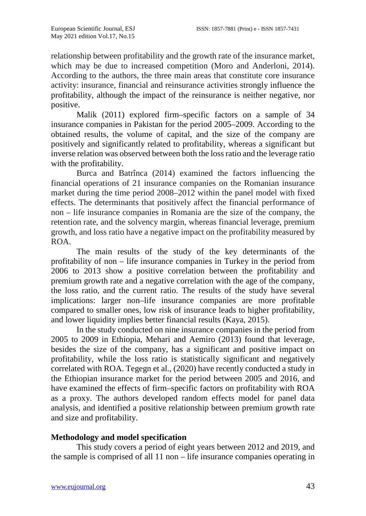relationship between profitability and the growth rate of the insurance market, which may be due to increased competition (Moro and Anderloni, 2014). According to the authors, the three main areas that constitute core insurance activity: insurance, financial and reinsurance activities strongly influence the profitability, although the impact of the reinsurance is neither negative, nor positive.

Malik (2011) explored firm–specific factors on a sample of 34 insurance companies in Pakistan for the period 2005–2009. According to the obtained results, the volume of capital, and the size of the company are positively and significantly related to profitability, whereas a significant but inverse relation was observed between both the loss ratio and the leverage ratio with the profitability.

Burca and Batrînca (2014) examined the factors influencing the financial operations of 21 insurance companies on the Romanian insurance market during the time period 2008–2012 within the panel model with fixed effects. The determinants that positively affect the financial performance of non – life insurance companies in Romania are the size of the company, the retention rate, and the solvency margin, whereas financial leverage, premium growth, and loss ratio have a negative impact on the profitability measured by ROA.

The main results of the study of the key determinants of the profitability of non – life insurance companies in Turkey in the period from 2006 to 2013 show a positive correlation between the profitability and premium growth rate and a negative correlation with the age of the company, the loss ratio, and the current ratio. The results of the study have several implications: larger non–life insurance companies are more profitable compared to smaller ones, low risk of insurance leads to higher profitability, and lower liquidity implies better financial results (Kaya, 2015).

In the study conducted on nine insurance companies in the period from 2005 to 2009 in Ethiopia, Mehari and Aemiro (2013) found that leverage, besides the size of the company, has a significant and positive impact on profitability, while the loss ratio is statistically significant and negatively correlated with ROA. Tegegn et al., (2020) have recently conducted a study in the Ethiopian insurance market for the period between 2005 and 2016, and have examined the effects of firm–specific factors on profitability with ROA as a proxy. The authors developed random effects model for panel data analysis, and identified a positive relationship between premium growth rate and size and profitability.

# **Methodology and model specification**

This study covers a period of eight years between 2012 and 2019, and the sample is comprised of all 11 non – life insurance companies operating in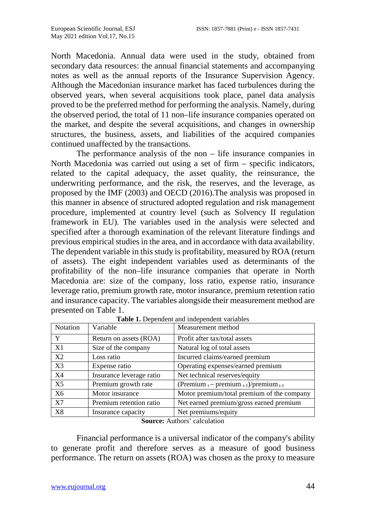North Macedonia. Annual data were used in the study, obtained from secondary data resources: the annual financial statements and accompanying notes as well as the annual reports of the Insurance Supervision Agency. Although the Macedonian insurance market has faced turbulences during the observed years, when several acquisitions took place, panel data analysis proved to be the preferred method for performing the analysis. Namely, during the observed period, the total of 11 non–life insurance companies operated on the market, and despite the several acquisitions, and changes in ownership structures, the business, assets, and liabilities of the acquired companies continued unaffected by the transactions.

The performance analysis of the non – life insurance companies in North Macedonia was carried out using a set of firm – specific indicators, related to the capital adequacy, the asset quality, the reinsurance, the underwriting performance, and the risk, the reserves, and the leverage, as proposed by the IMF (2003) and OECD (2016).The analysis was proposed in this manner in absence of structured adopted regulation and risk management procedure, implemented at country level (such as Solvency II regulation framework in EU). The variables used in the analysis were selected and specified after a thorough examination of the relevant literature findings and previous empirical studies in the area, and in accordance with data availability. The dependent variable in this study is profitability, measured by ROA (return of assets). The eight independent variables used as determinants of the profitability of the non–life insurance companies that operate in North Macedonia are: size of the company, loss ratio, expense ratio, insurance leverage ratio, premium growth rate, motor insurance, premium retention ratio and insurance capacity. The variables alongside their measurement method are presented on Table 1.

| <b>Notation</b> | Variable                 | Measurement method                                    |
|-----------------|--------------------------|-------------------------------------------------------|
| Y               | Return on assets (ROA)   | Profit after tax/total assets                         |
| X1              | Size of the company      | Natural log of total assets                           |
| X2              | Loss ratio               | Incurred claims/earned premium                        |
| X <sub>3</sub>  | Expense ratio            | Operating expenses/earned premium                     |
| X <sub>4</sub>  | Insurance leverage ratio | Net technical reserves/equity                         |
| X <sub>5</sub>  | Premium growth rate      | (Premium $_{t}$ – premium $_{t-1}$ )/premium $_{t-1}$ |
| X <sub>6</sub>  | Motor insurance          | Motor premium/total premium of the company            |
| X7              | Premium retention ratio  | Net earned premium/gross earned premium               |
| X8              | Insurance capacity       | Net premiums/equity                                   |

**Table 1.** Dependent and independent variables

**Source:** Authors' calculation

Financial performance is a universal indicator of the company's ability to generate profit and therefore serves as a measure of good business performance. The return on assets (ROA) was chosen as the proxy to measure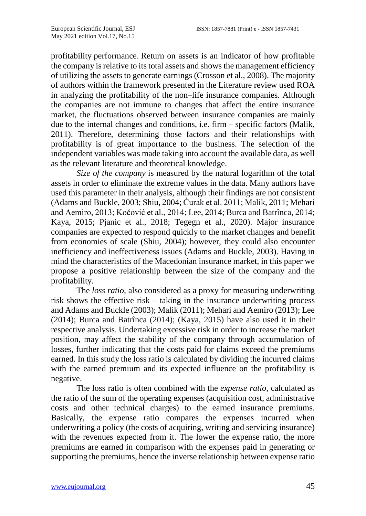profitability performance. Return on assets is an indicator of how profitable the company is relative to its total assets and shows the management efficiency of utilizing the assets to generate earnings (Crosson et al., 2008). The majority of authors within the framework presented in the Literature review used ROA in analyzing the profitability of the non–life insurance companies. Although the companies are not immune to changes that affect the entire insurance market, the fluctuations observed between insurance companies are mainly due to the internal changes and conditions, i.e. firm – specific factors (Malik, 2011). Therefore, determining those factors and their relationships with profitability is of great importance to the business. The selection of the independent variables was made taking into account the available data, as well as the relevant literature and theoretical knowledge.

*Size of the company* is measured by the natural logarithm of the total assets in order to eliminate the extreme values in the data. Many authors have used this parameter in their analysis, although their findings are not consistent (Adams and Buckle, 2003; Shiu, 2004; Ćurak et al. 2011; Malik, 2011; Mehari and Aemiro, 2013; Kočović et al., 2014; Lee, 2014; Burca and Batrînca, 2014; Kaya, 2015; Pjanic et al., 2018; Tegegn et al., 2020). Major insurance companies are expected to respond quickly to the market changes and benefit from economies of scale (Shiu, 2004); however, they could also encounter inefficiency and ineffectiveness issues (Adams and Buckle, 2003). Having in mind the characteristics of the Macedonian insurance market, in this paper we propose a positive relationship between the size of the company and the profitability.

The *loss ratio*, also considered as a proxy for measuring underwriting risk shows the effective risk – taking in the insurance underwriting process and Adams and Buckle (2003); Malik (2011); Mehari and Aemiro (2013); Lee (2014); Burca and Batrînca (2014); (Kaya, 2015) have also used it in their respective analysis. Undertaking excessive risk in order to increase the market position, may affect the stability of the company through accumulation of losses, further indicating that the costs paid for claims exceed the premiums earned. In this study the loss ratio is calculated by dividing the incurred claims with the earned premium and its expected influence on the profitability is negative.

The loss ratio is often combined with the *expense ratio,* calculated as the ratio of the sum of the operating expenses (acquisition cost, administrative costs and other technical charges) to the earned insurance premiums. Basically, the expense ratio compares the expenses incurred when underwriting a policy (the costs of acquiring, writing and servicing insurance) with the revenues expected from it. The lower the expense ratio, the more premiums are earned in comparison with the expenses paid in generating or supporting the premiums, hence the inverse relationship between expense ratio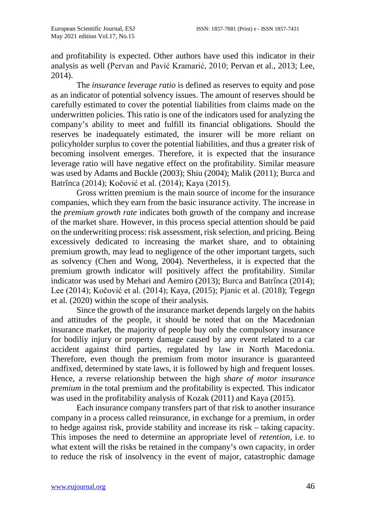and profitability is expected. Other authors have used this indicator in their analysis as well (Pervan and Pavić Kramarić, 2010; Pervan et al., 2013; Lee, 2014).

The *insurance leverage ratio* is defined as reserves to equity and pose as an indicator of potential solvency issues. The amount of reserves should be carefully estimated to cover the potential liabilities from claims made on the underwritten policies. This ratio is one of the indicators used for analyzing the company's ability to meet and fulfill its financial obligations. Should the reserves be inadequately estimated, the insurer will be more reliant on policyholder surplus to cover the potential liabilities, and thus a greater risk of becoming insolvent emerges. Therefore, it is expected that the insurance leverage ratio will have negative effect on the profitability. Similar measure was used by Adams and Buckle (2003); Shiu (2004); Malik (2011); Burca and Batrînca (2014); Kočović et al. (2014); Kaya (2015).

Gross written premium is the main source of income for the insurance companies, which they earn from the basic insurance activity. The increase in the *premium growth rate* indicates both growth of the company and increase of the market share. However, in this process special attention should be paid on the underwriting process: risk assessment, risk selection, and pricing. Being excessively dedicated to increasing the market share, and to obtaining premium growth, may lead to negligence of the other important targets, such as solvency (Chen and Wong, 2004). Nevertheless, it is expected that the premium growth indicator will positively affect the profitability. Similar indicator was used by Mehari and Aemiro (2013); Burca and Batrînca (2014); Lee (2014); Kočović et al. (2014); Kaya, (2015); Pjanic et al. (2018); Tegegn et al. (2020) within the scope of their analysis.

Since the growth of the insurance market depends largely on the habits and attitudes of the people, it should be noted that on the Macedonian insurance market, the majority of people buy only the compulsory insurance for bodiliy injury or property damage caused by any event related to a car accident against third parties, regulated by law in North Macedonia. Therefore, even though the premium from motor insurance is guaranteed andfixed, determined by state laws, it is followed by high and frequent losses. Hence, a reverse relationship between the high *share of motor insurance premium* in the total premium and the profitability is expected. This indicator was used in the profitability analysis of Kozak (2011) and Kaya (2015).

Each insurance company transfers part of that risk to another insurance company in a process called reinsurance, in exchange for a premium, in order to hedge against risk, provide stability and increase its risk – taking capacity. This imposes the need to determine an appropriate level of *retention*, i.e. to what extent will the risks be retained in the company's own capacity, in order to reduce the risk of insolvency in the event of major, catastrophic damage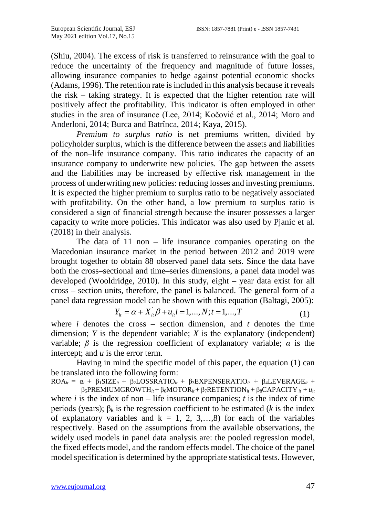(Shiu, 2004). The excess of risk is transferred to reinsurance with the goal to reduce the uncertainty of the frequency and magnitude of future losses, allowing insurance companies to hedge against potential economic shocks (Adams, 1996). The retention rate is included in this analysis because it reveals the risk – taking strategy. It is expected that the higher retention rate will positively affect the profitability. This indicator is often employed in other studies in the area of insurance (Lee, 2014; Kočović et al., 2014; Moro and Anderloni, 2014; Burca and Batrînca, 2014; Kaya, 2015).

*Premium to surplus ratio* is net premiums written, divided by policyholder surplus, which is the difference between the assets and liabilities of the non–life insurance company. This ratio indicates the capacity of an insurance company to underwrite new policies. The gap between the assets and the liabilities may be increased by effective risk management in the process of underwriting new policies: reducing losses and investing premiums. It is expected the higher premium to surplus ratio to be negatively associated with profitability. On the other hand, a low premium to surplus ratio is considered a sign of financial strength because the insurer possesses a larger capacity to write more policies. This indicator was also used by Pjanic et al. (2018) in their analysis.

The data of 11 non – life insurance companies operating on the Macedonian insurance market in the period between 2012 and 2019 were brought together to obtain 88 observed panel data sets. Since the data have both the cross–sectional and time–series dimensions, a panel data model was developed (Wooldridge, 2010). In this study, eight – year data exist for all cross – section units, therefore, the panel is balanced. The general form of a panel data regression model can be shown with this equation (Baltagi, 2005):

$$
Y_{it} = \alpha + X_{it}^{'} \beta + u_{it}^{'} i = 1, ..., N; t = 1, ..., T
$$
 (1)

where  $i$  denotes the cross – section dimension, and  $t$  denotes the time dimension; *Y* is the dependent variable; *X* is the explanatory (independent) variable;  $\beta$  is the regression coefficient of explanatory variable;  $\alpha$  is the intercept; and *u* is the error term.

Having in mind the specific model of this paper, the equation (1) can be translated into the following form:

 $ROA_{it} = \alpha_i + \beta_1 SIZE_{it} + \beta_2 LOSSRATIO_{it} + \beta_3 EXPENSERATIO_{it} + \beta_4 LEVERAGE_{it} +$  $β_5$ PREMIUMGROWTH<sub>it</sub> + β<sub>6</sub>MOTOR<sub>it</sub> + β<sub>7</sub>RETENTION<sub>it</sub> + β<sub>8</sub>CAPACITY<sub>it</sub> + *u<sub>it</sub>* where  $i$  is the index of non – life insurance companies;  $t$  is the index of time periods (years); β*<sup>k</sup>* is the regression coefficient to be estimated (*k* is the index of explanatory variables and  $k = 1, 2, 3,...,8$  for each of the variables respectively. Based on the assumptions from the available observations, the widely used models in panel data analysis are: the pooled regression model, the fixed effects model, and the random effects model. The choice of the panel model specification is determined by the appropriate statistical tests. However,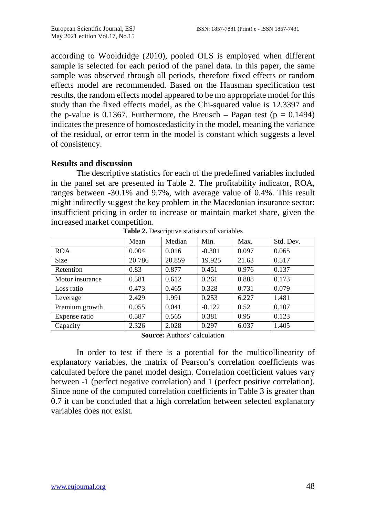according to Wooldridge (2010), pooled OLS is employed when different sample is selected for each period of the panel data. In this paper, the same sample was observed through all periods, therefore fixed effects or random effects model are recommended. Based on the Hausman specification test results, the random effects model appeared to be mo appropriate model for this study than the fixed effects model, as the Chi-squared value is 12.3397 and the p-value is 0.1367. Furthermore, the Breusch – Pagan test ( $p = 0.1494$ ) indicates the presence of homoscedasticity in the model, meaning the variance of the residual, or error term in the model is constant which suggests a level of consistency.

### **Results and discussion**

The descriptive statistics for each of the predefined variables included in the panel set are presented in Table 2. The profitability indicator, ROA, ranges between -30.1% and 9.7%, with average value of 0.4%. This result might indirectly suggest the key problem in the Macedonian insurance sector: insufficient pricing in order to increase or maintain market share, given the increased market competition.

|                 | Mean   | Median | Min.     | Max.  | Std. Dev. |
|-----------------|--------|--------|----------|-------|-----------|
| <b>ROA</b>      | 0.004  | 0.016  | $-0.301$ | 0.097 | 0.065     |
| <b>Size</b>     | 20.786 | 20.859 | 19.925   | 21.63 | 0.517     |
| Retention       | 0.83   | 0.877  | 0.451    | 0.976 | 0.137     |
| Motor insurance | 0.581  | 0.612  | 0.261    | 0.888 | 0.173     |
| Loss ratio      | 0.473  | 0.465  | 0.328    | 0.731 | 0.079     |
| Leverage        | 2.429  | 1.991  | 0.253    | 6.227 | 1.481     |
| Premium growth  | 0.055  | 0.041  | $-0.122$ | 0.52  | 0.107     |
| Expense ratio   | 0.587  | 0.565  | 0.381    | 0.95  | 0.123     |
| Capacity        | 2.326  | 2.028  | 0.297    | 6.037 | 1.405     |

**Table 2.** Descriptive statistics of variables

**Source:** Authors' calculation

In order to test if there is a potential for the multicollinearity of explanatory variables, the matrix of Pearson's correlation coefficients was calculated before the panel model design. Correlation coefficient values vary between -1 (perfect negative correlation) and 1 (perfect positive correlation). Since none of the computed correlation coefficients in Table 3 is greater than 0.7 it can be concluded that a high correlation between selected explanatory variables does not exist.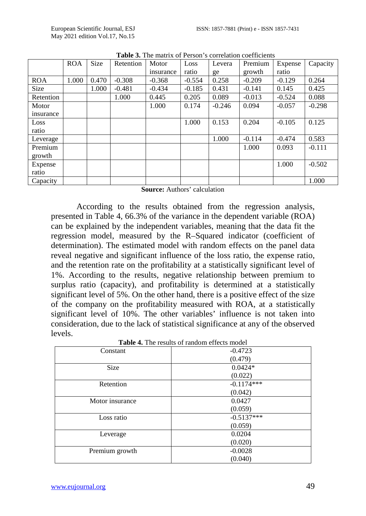|            |            |       |           | Tabit 9. The matrix of Febon 3 contention coemercing |          |          |          |          |          |
|------------|------------|-------|-----------|------------------------------------------------------|----------|----------|----------|----------|----------|
|            | <b>ROA</b> | Size  | Retention | Motor                                                | Loss     | Levera   | Premium  | Expense  | Capacity |
|            |            |       |           | insurance                                            | ratio    | ge       | growth   | ratio    |          |
| <b>ROA</b> | 1.000      | 0.470 | $-0.308$  | $-0.368$                                             | $-0.554$ | 0.258    | $-0.209$ | $-0.129$ | 0.264    |
| Size       |            | 1.000 | $-0.481$  | $-0.434$                                             | $-0.185$ | 0.431    | $-0.141$ | 0.145    | 0.425    |
| Retention  |            |       | 1.000     | 0.445                                                | 0.205    | 0.089    | $-0.013$ | $-0.524$ | 0.088    |
| Motor      |            |       |           | 1.000                                                | 0.174    | $-0.246$ | 0.094    | $-0.057$ | $-0.298$ |
| insurance  |            |       |           |                                                      |          |          |          |          |          |
| Loss       |            |       |           |                                                      | 1.000    | 0.153    | 0.204    | $-0.105$ | 0.125    |
| ratio      |            |       |           |                                                      |          |          |          |          |          |
| Leverage   |            |       |           |                                                      |          | 1.000    | $-0.114$ | $-0.474$ | 0.583    |
| Premium    |            |       |           |                                                      |          |          | 1.000    | 0.093    | $-0.111$ |
| growth     |            |       |           |                                                      |          |          |          |          |          |
| Expense    |            |       |           |                                                      |          |          |          | 1.000    | $-0.502$ |
| ratio      |            |       |           |                                                      |          |          |          |          |          |
| Capacity   |            |       |           |                                                      |          |          |          |          | 1.000    |

**Table 3.** The matrix of Person's correlation coefficients

**Source:** Authors' calculation

According to the results obtained from the regression analysis, presented in Table 4, 66.3% of the variance in the dependent variable (ROA) can be explained by the independent variables, meaning that the data fit the regression model, measured by the R–Squared indicator (coefficient of determination). The estimated model with random effects on the panel data reveal negative and significant influence of the loss ratio, the expense ratio, and the retention rate on the profitability at a statistically significant level of 1%. According to the results, negative relationship between premium to surplus ratio (capacity), and profitability is determined at a statistically significant level of 5%. On the other hand, there is a positive effect of the size of the company on the profitability measured with ROA, at a statistically significant level of 10%. The other variables' influence is not taken into consideration, due to the lack of statistical significance at any of the observed levels.

| Constant        | $-0.4723$    |
|-----------------|--------------|
|                 | (0.479)      |
| <b>Size</b>     | $0.0424*$    |
|                 | (0.022)      |
| Retention       | $-0.1174***$ |
|                 | (0.042)      |
| Motor insurance | 0.0427       |
|                 | (0.059)      |
| Loss ratio      | $-0.5137***$ |
|                 | (0.059)      |
| Leverage        | 0.0204       |
|                 | (0.020)      |
| Premium growth  | $-0.0028$    |
|                 | (0.040)      |

**Table 4.** The results of random effects model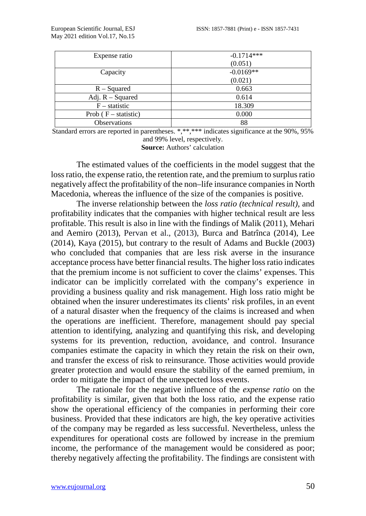| Expense ratio          | $-0.1714***$ |  |  |
|------------------------|--------------|--|--|
|                        | (0.051)      |  |  |
| Capacity               | $-0.0169**$  |  |  |
|                        | (0.021)      |  |  |
| $R - Squared$          | 0.663        |  |  |
| Adj. $R - Squared$     | 0.614        |  |  |
| $F -$ statistic        | 18.309       |  |  |
| Prob $(F - statistic)$ | 0.000        |  |  |
| <b>Observations</b>    | 88           |  |  |

Standard errors are reported in parentheses. \*,\*\*,\*\*\* indicates significance at the 90%, 95% and 99% level, respectively.

**Source:** Authors' calculation

The estimated values of the coefficients in the model suggest that the loss ratio, the expense ratio, the retention rate, and the premium to surplus ratio negatively affect the profitability of the non–life insurance companies in North Macedonia, whereas the influence of the size of the companies is positive.

The inverse relationship between the *loss ratio (technical result),* and profitability indicates that the companies with higher technical result are less profitable. This result is also in line with the findings of Malik (2011), Mehari and Aemiro (2013), Pervan et al., (2013), Burca and Batrînca (2014), Lee (2014), Kaya (2015), but contrary to the result of Adams and Buckle (2003) who concluded that companies that are less risk averse in the insurance acceptance process have better financial results. The higher loss ratio indicates that the premium income is not sufficient to cover the claims' expenses. This indicator can be implicitly correlated with the company's experience in providing a business quality and risk management. High loss ratio might be obtained when the insurer underestimates its clients' risk profiles, in an event of a natural disaster when the frequency of the claims is increased and when the operations are inefficient. Therefore, management should pay special attention to identifying, analyzing and quantifying this risk, and developing systems for its prevention, reduction, avoidance, and control. Insurance companies estimate the capacity in which they retain the risk on their own, and transfer the excess of risk to reinsurance. Those activities would provide greater protection and would ensure the stability of the earned premium, in order to mitigate the impact of the unexpected loss events.

The rationale for the negative influence of the *expense ratio* on the profitability is similar, given that both the loss ratio, and the expense ratio show the operational efficiency of the companies in performing their core business. Provided that these indicators are high, the key operative activities of the company may be regarded as less successful. Nevertheless, unless the expenditures for operational costs are followed by increase in the premium income, the performance of the management would be considered as poor; thereby negatively affecting the profitability. The findings are consistent with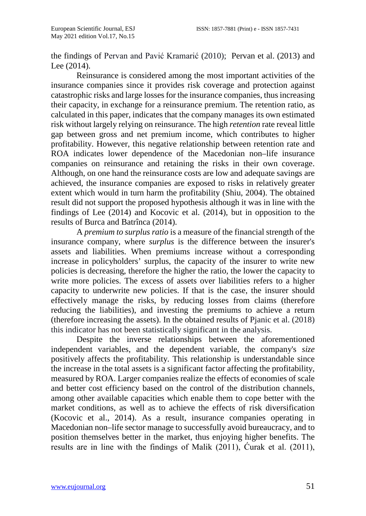the findings of Pervan and Pavić Kramarić (2010); Pervan et al. (2013) and Lee (2014).

Reinsurance is considered among the most important activities of the insurance companies since it provides risk coverage and protection against catastrophic risks and large losses for the insurance companies, thus increasing their capacity, in exchange for a reinsurance premium. The retention ratio, as calculated in this paper, indicates that the company manages its own estimated risk without largely relying on reinsurance. The high *retention* rate reveal little gap between gross and net premium income, which contributes to higher profitability. However, this negative relationship between retention rate and ROA indicates lower dependence of the Macedonian non–life insurance companies on reinsurance and retaining the risks in their own coverage. Although, on one hand the reinsurance costs are low and adequate savings are achieved, the insurance companies are exposed to risks in relatively greater extent which would in turn harm the profitability (Shiu, 2004). The obtained result did not support the proposed hypothesis although it was in line with the findings of Lee (2014) and Kocovic et al. (2014), but in opposition to the results of Burca and Batrînca (2014).

A *premium to surplus ratio* is a measure of the financial strength of the insurance company, where *surplus* is the difference between the insurer's assets and liabilities. When premiums increase without a corresponding increase in policyholders' surplus, the capacity of the insurer to write new policies is decreasing, therefore the higher the ratio, the lower the capacity to write more policies. The excess of assets over liabilities refers to a higher capacity to underwrite new policies. If that is the case, the insurer should effectively manage the risks, by reducing losses from claims (therefore reducing the liabilities), and investing the premiums to achieve a return (therefore increasing the assets). In the obtained results of Pjanic et al. (2018) this indicator has not been statistically significant in the analysis.

Despite the inverse relationships between the aforementioned independent variables, and the dependent variable, the company's *size* positively affects the profitability. This relationship is understandable since the increase in the total assets is a significant factor affecting the profitability, measured by ROA. Larger companies realize the effects of economies of scale and better cost efficiency based on the control of the distribution channels, among other available capacities which enable them to cope better with the market conditions, as well as to achieve the effects of risk diversification (Kocovic et al., 2014). As a result, insurance companies operating in Macedonian non–life sector manage to successfully avoid bureaucracy, and to position themselves better in the market, thus enjoying higher benefits. The results are in line with the findings of Malik (2011), Ćurak et al. (2011),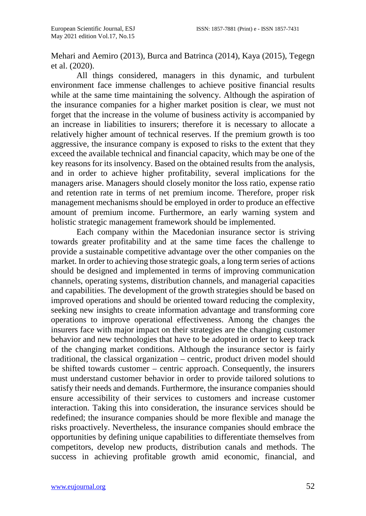Mehari and Aemiro (2013), Burca and Batrinca (2014), Kaya (2015), Tegegn et al. (2020).

All things considered, managers in this dynamic, and turbulent environment face immense challenges to achieve positive financial results while at the same time maintaining the solvency. Although the aspiration of the insurance companies for a higher market position is clear, we must not forget that the increase in the volume of business activity is accompanied by an increase in liabilities to insurers; therefore it is necessary to allocate a relatively higher amount of technical reserves. If the premium growth is too aggressive, the insurance company is exposed to risks to the extent that they exceed the available technical and financial capacity, which may be one of the key reasons for its insolvency. Based on the obtained results from the analysis, and in order to achieve higher profitability, several implications for the managers arise. Managers should closely monitor the loss ratio, expense ratio and retention rate in terms of net premium income. Therefore, proper risk management mechanisms should be employed in order to produce an effective amount of premium income. Furthermore, an early warning system and holistic strategic management framework should be implemented.

Each company within the Macedonian insurance sector is striving towards greater profitability and at the same time faces the challenge to provide a sustainable competitive advantage over the other companies on the market. In order to achieving those strategic goals, a long term series of actions should be designed and implemented in terms of improving communication channels, operating systems, distribution channels, and managerial capacities and capabilities. The development of the growth strategies should be based on improved operations and should be oriented toward reducing the complexity, seeking new insights to create information advantage and transforming core operations to improve operational effectiveness. Among the changes the insurers face with major impact on their strategies are the changing customer behavior and new technologies that have to be adopted in order to keep track of the changing market conditions. Although the insurance sector is fairly traditional, the classical organization – centric, product driven model should be shifted towards customer – centric approach. Consequently, the insurers must understand customer behavior in order to provide tailored solutions to satisfy their needs and demands. Furthermore, the insurance companies should ensure accessibility of their services to customers and increase customer interaction. Taking this into consideration, the insurance services should be redefined; the insurance companies should be more flexible and manage the risks proactively. Nevertheless, the insurance companies should embrace the opportunities by defining unique capabilities to differentiate themselves from competitors, develop new products, distribution canals and methods. The success in achieving profitable growth amid economic, financial, and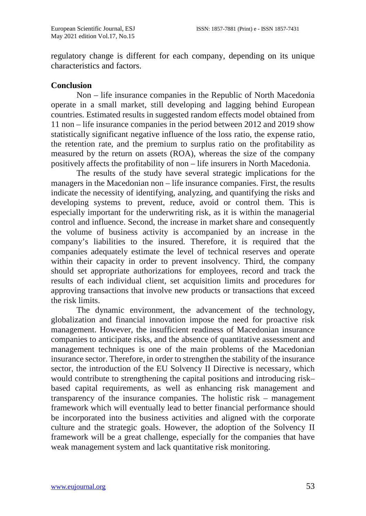regulatory change is different for each company, depending on its unique characteristics and factors.

### **Conclusion**

Non – life insurance companies in the Republic of North Macedonia operate in a small market, still developing and lagging behind European countries. Estimated results in suggested random effects model obtained from 11 non – life insurance companies in the period between 2012 and 2019 show statistically significant negative influence of the loss ratio, the expense ratio, the retention rate, and the premium to surplus ratio on the profitability as measured by the return on assets (ROA), whereas the size of the company positively affects the profitability of non – life insurers in North Macedonia.

The results of the study have several strategic implications for the managers in the Macedonian non – life insurance companies. First, the results indicate the necessity of identifying, analyzing, and quantifying the risks and developing systems to prevent, reduce, avoid or control them. This is especially important for the underwriting risk, as it is within the managerial control and influence. Second, the increase in market share and consequently the volume of business activity is accompanied by an increase in the company's liabilities to the insured. Therefore, it is required that the companies adequately estimate the level of technical reserves and operate within their capacity in order to prevent insolvency. Third, the company should set appropriate authorizations for employees, record and track the results of each individual client, set acquisition limits and procedures for approving transactions that involve new products or transactions that exceed the risk limits.

The dynamic environment, the advancement of the technology, globalization and financial innovation impose the need for proactive risk management. However, the insufficient readiness of Macedonian insurance companies to anticipate risks, and the absence of quantitative assessment and management techniques is one of the main problems of the Macedonian insurance sector. Therefore, in order to strengthen the stability of the insurance sector, the introduction of the EU Solvency II Directive is necessary, which would contribute to strengthening the capital positions and introducing risk– based capital requirements, as well as enhancing risk management and transparency of the insurance companies. The holistic risk – management framework which will eventually lead to better financial performance should be incorporated into the business activities and aligned with the corporate culture and the strategic goals. However, the adoption of the Solvency II framework will be a great challenge, especially for the companies that have weak management system and lack quantitative risk monitoring.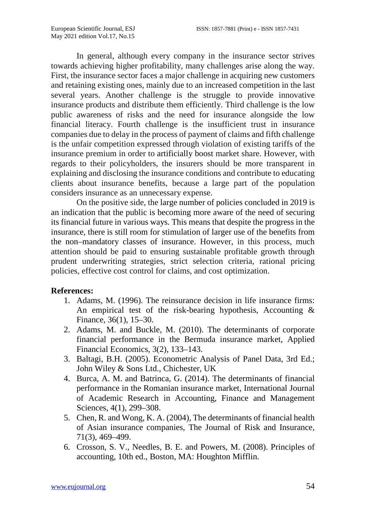In general, although every company in the insurance sector strives towards achieving higher profitability, many challenges arise along the way. First, the insurance sector faces a major challenge in acquiring new customers and retaining existing ones, mainly due to an increased competition in the last several years. Another challenge is the struggle to provide innovative insurance products and distribute them efficiently. Third challenge is the low public awareness of risks and the need for insurance alongside the low financial literacy. Fourth challenge is the insufficient trust in insurance companies due to delay in the process of payment of claims and fifth challenge is the unfair competition expressed through violation of existing tariffs of the insurance premium in order to artificially boost market share. However, with regards to their policyholders, the insurers should be more transparent in explaining and disclosing the insurance conditions and contribute to educating clients about insurance benefits, because a large part of the population considers insurance as an unnecessary expense.

On the positive side, the large number of policies concluded in 2019 is an indication that the public is becoming more aware of the need of securing its financial future in various ways. This means that despite the progress in the insurance, there is still room for stimulation of larger use of the benefits from the non–mandatory classes of insurance. However, in this process, much attention should be paid to ensuring sustainable profitable growth through prudent underwriting strategies, strict selection criteria, rational pricing policies, effective cost control for claims, and cost optimization.

# **References:**

- 1. Adams, M. (1996). The reinsurance decision in life insurance firms: An empirical test of the risk-bearing hypothesis, Accounting  $\&$ Finance, 36(1), 15–30.
- 2. Adams, M. and Buckle, M. (2010). The determinants of corporate financial performance in the Bermuda insurance market, Applied Financial Economics, 3(2), 133–143.
- 3. Baltagi, B.H. (2005). Econometric Analysis of Panel Data, 3rd Ed.; John Wiley & Sons Ltd., Chichester, UK
- 4. Burca, A. M. and Batrinca, G. (2014). The determinants of financial performance in the Romanian insurance market, International Journal of Academic Research in Accounting, Finance and Management Sciences, 4(1), 299–308.
- 5. Chen, R. and Wong, K. A. (2004), The determinants of financial health of Asian insurance companies, The Journal of Risk and Insurance, 71(3), 469–499.
- 6. Crosson, S. V., Needles, B. E. and Powers, M. (2008). Principles of accounting, 10th ed., Boston, MA: Houghton Mifflin.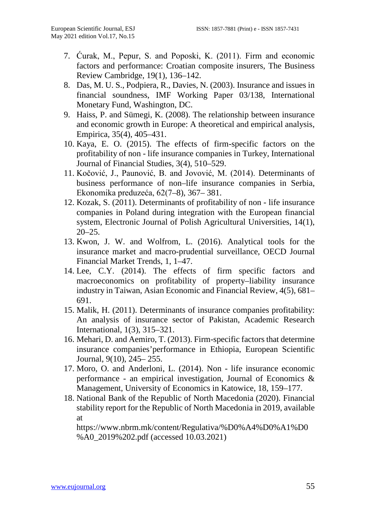- 7. Ćurak, M., Pepur, S. and Poposki, K. (2011). Firm and economic factors and performance: Croatian composite insurers, The Business Review Cambridge, 19(1), 136–142.
- 8. Das, M. U. S., Podpiera, R., Davies, N. (2003). Insurance and issues in financial soundness, IMF Working Paper 03/138, International Monetary Fund, Washington, DC.
- 9. Haiss, P. and Sümegi, K. (2008). The relationship between insurance and economic growth in Europe: A theoretical and empirical analysis, Empirica, 35(4), 405–431.
- 10. Kaya, E. O. (2015). The effects of firm-specific factors on the profitability of non - life insurance companies in Turkey, International Journal of Financial Studies, 3(4), 510–529.
- 11. Kočović, J., Paunović, B. and Jovović, M. (2014). [Determinants of](http://scindeks.ceon.rs/article.aspx?artid=0353-443X1408367K)  [business performance of](http://scindeks.ceon.rs/article.aspx?artid=0353-443X1408367K) [non–life insurance companies in Serbia,](http://scindeks.ceon.rs/article.aspx?artid=0353-443X1408367K) Ekonomika preduzeća, 62(7–8), 367– 381.
- 12. Kozak, S. (2011). Determinants of profitability of non life insurance companies in Poland during integration with the European financial system, Electronic Journal of Polish Agricultural Universities, 14(1),  $20 - 25$ .
- 13. [Kwon,](https://www.researchgate.net/scientific-contributions/W-Jean-Kwon-2117784143) J. W. and Wolfrom, L. (2016). Analytical tools for the insurance market and macro-prudential surveillance, [OECD Journal](https://www.researchgate.net/journal/OECD-Journal-Financial-Market-Trends-1995-2864)  [Financial Market Trends,](https://www.researchgate.net/journal/OECD-Journal-Financial-Market-Trends-1995-2864) 1, 1–47.
- 14. Lee, C.Y. (2014). The effects of firm specific factors and macroeconomics on profitability of property–liability insurance industry in Taiwan, Asian Economic and Financial Review, 4(5), 681– 691.
- 15. Malik, H. (2011). Determinants of insurance companies profitability: An analysis of insurance sector of Pakistan, Academic Research International, 1(3), 315–321.
- 16. Mehari, D. and Aemiro, T. (2013). Firm-specific factors that determine insurance companies'performance in Ethiopia, European Scientific Journal, 9(10), 245– 255.
- 17. Moro, O. and Anderloni, L. (2014). Non life insurance economic performance - an empirical investigation, Journal of Economics & Management, University of Economics in Katowice, 18, 159–177.
- 18. National Bank of the Republic of North Macedonia (2020). Financial stability report for the Republic of North Macedonia in 2019, available at

[https://www.nbrm.mk/content/Regulativa/%](https://www.nbrm.mk/content/Regulativa/)D0%A4%D0%A1%D0 %A0\_2019%202.pdf (accessed 10.03.2021)